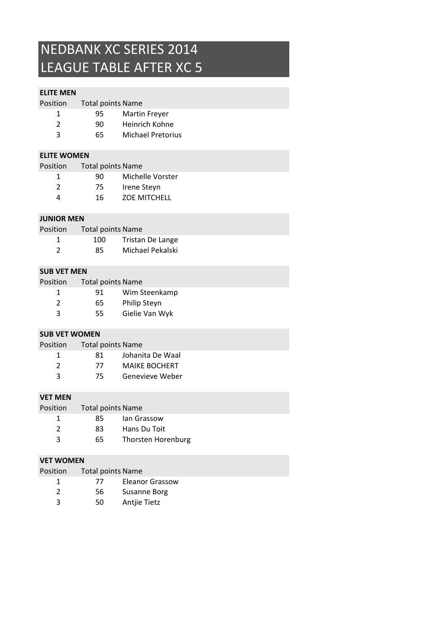## NEDBANK XC SERIES 2014 LEAGUE TABLE AFTER XC 5

## ELITE MEN

| Position             | <b>Total points Name</b> |                          |  |  |  |
|----------------------|--------------------------|--------------------------|--|--|--|
| 1                    | 95                       | Martin Freyer            |  |  |  |
| $\overline{2}$       | 90                       | Heinrich Kohne           |  |  |  |
| 3                    | 65                       | <b>Michael Pretorius</b> |  |  |  |
|                      |                          |                          |  |  |  |
| <b>ELITE WOMEN</b>   |                          |                          |  |  |  |
| Position             | <b>Total points Name</b> |                          |  |  |  |
| 1                    | 90                       | Michelle Vorster         |  |  |  |
| $\overline{2}$       | 75                       | Irene Steyn              |  |  |  |
| 4                    | 16                       | <b>ZOE MITCHELL</b>      |  |  |  |
|                      |                          |                          |  |  |  |
| <b>JUNIOR MEN</b>    |                          |                          |  |  |  |
| Position             | <b>Total points Name</b> |                          |  |  |  |
| 1                    | 100                      | Tristan De Lange         |  |  |  |
| $\overline{2}$       | 85                       | Michael Pekalski         |  |  |  |
|                      |                          |                          |  |  |  |
| <b>SUB VET MEN</b>   |                          |                          |  |  |  |
| Position             | <b>Total points Name</b> |                          |  |  |  |
| 1                    | 91                       | Wim Steenkamp            |  |  |  |
| $\overline{2}$       | 65                       | Philip Steyn             |  |  |  |
| 3                    | 55                       | Gielie Van Wyk           |  |  |  |
|                      |                          |                          |  |  |  |
| <b>SUB VET WOMEN</b> |                          |                          |  |  |  |
| Position             | <b>Total points Name</b> |                          |  |  |  |
| 1                    | 81                       | Johanita De Waal         |  |  |  |
| $\overline{2}$       | 77                       | <b>MAIKE BOCHERT</b>     |  |  |  |
| 3                    | 75                       | Genevieve Weber          |  |  |  |
|                      |                          |                          |  |  |  |
| <b>VET MEN</b>       |                          |                          |  |  |  |
| Position             | <b>Total points Name</b> |                          |  |  |  |
| 1                    | 85                       | lan Grassow              |  |  |  |
| $\overline{2}$       | 83                       | Hans Du Toit             |  |  |  |
| 3                    | 65                       | Thorsten Horenburg       |  |  |  |
|                      |                          |                          |  |  |  |
| <b>VET WOMEN</b>     |                          |                          |  |  |  |
| Position             | <b>Total points Name</b> |                          |  |  |  |

| . | $. 5.001$ $. 7.001$ $. 7.001$ $. 7.001$ |                 |
|---|-----------------------------------------|-----------------|
|   | 77                                      | Eleanor Grassow |
|   | 56                                      | Susanne Borg    |
| 3 | 50                                      | Antjie Tietz    |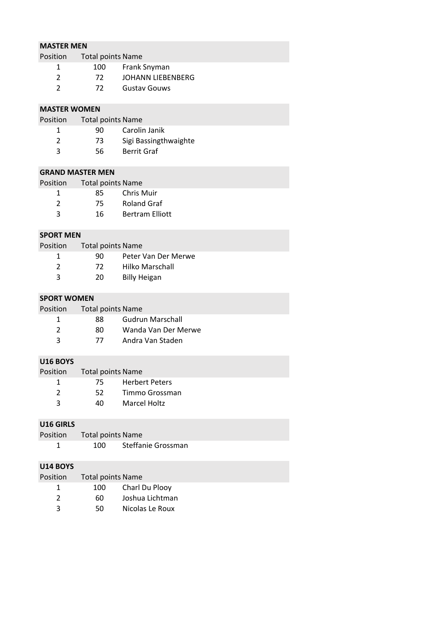| <b>MASTER MEN</b>                          |                                             |                                                      |  |  |  |  |
|--------------------------------------------|---------------------------------------------|------------------------------------------------------|--|--|--|--|
| Position                                   | <b>Total points Name</b>                    |                                                      |  |  |  |  |
| 1                                          | 100                                         | Frank Snyman                                         |  |  |  |  |
| 2                                          | 72                                          | <b>JOHANN LIEBENBERG</b>                             |  |  |  |  |
| $\overline{2}$                             | 72                                          | <b>Gustav Gouws</b>                                  |  |  |  |  |
|                                            |                                             |                                                      |  |  |  |  |
| <b>MASTER WOMEN</b>                        |                                             |                                                      |  |  |  |  |
| Position                                   | <b>Total points Name</b>                    |                                                      |  |  |  |  |
| 1                                          | 90                                          | Carolin Janik                                        |  |  |  |  |
| 2                                          | 73                                          | Sigi Bassingthwaighte                                |  |  |  |  |
| 3                                          | 56                                          | <b>Berrit Graf</b>                                   |  |  |  |  |
| <b>GRAND MASTER MEN</b>                    |                                             |                                                      |  |  |  |  |
| Position                                   | <b>Total points Name</b>                    |                                                      |  |  |  |  |
| 1                                          | 85                                          | Chris Muir                                           |  |  |  |  |
| 2                                          | 75                                          | <b>Roland Graf</b>                                   |  |  |  |  |
| 3                                          | 16                                          | <b>Bertram Elliott</b>                               |  |  |  |  |
|                                            |                                             |                                                      |  |  |  |  |
| <b>SPORT MEN</b>                           |                                             |                                                      |  |  |  |  |
| Position                                   | <b>Total points Name</b>                    |                                                      |  |  |  |  |
| 1                                          | 90                                          | Peter Van Der Merwe                                  |  |  |  |  |
| 2                                          | 72                                          | <b>Hilko Marschall</b>                               |  |  |  |  |
| 3                                          | 20                                          | <b>Billy Heigan</b>                                  |  |  |  |  |
|                                            |                                             |                                                      |  |  |  |  |
| <b>SPORT WOMEN</b>                         |                                             |                                                      |  |  |  |  |
| Position                                   | <b>Total points Name</b>                    |                                                      |  |  |  |  |
| 1                                          | 88                                          | <b>Gudrun Marschall</b>                              |  |  |  |  |
| 2                                          | 80                                          | Wanda Van Der Merwe                                  |  |  |  |  |
| 3                                          | 77                                          | Andra Van Staden                                     |  |  |  |  |
|                                            |                                             |                                                      |  |  |  |  |
| <b>U16 BOYS</b>                            |                                             |                                                      |  |  |  |  |
| Position                                   | <b>Total points Name</b>                    |                                                      |  |  |  |  |
| 1                                          | 75                                          | <b>Herbert Peters</b>                                |  |  |  |  |
| 2                                          | 52                                          | Timmo Grossman                                       |  |  |  |  |
| 3                                          | 40                                          | <b>Marcel Holtz</b>                                  |  |  |  |  |
|                                            |                                             |                                                      |  |  |  |  |
| U16 GIRLS                                  |                                             |                                                      |  |  |  |  |
| Position                                   | <b>Total points Name</b>                    |                                                      |  |  |  |  |
| 1                                          | 100                                         | Steffanie Grossman                                   |  |  |  |  |
|                                            |                                             |                                                      |  |  |  |  |
|                                            |                                             |                                                      |  |  |  |  |
|                                            |                                             |                                                      |  |  |  |  |
|                                            |                                             |                                                      |  |  |  |  |
|                                            |                                             |                                                      |  |  |  |  |
| <b>U14 BOYS</b><br>Position<br>1<br>2<br>3 | <b>Total points Name</b><br>100<br>60<br>50 | Charl Du Plooy<br>Joshua Lichtman<br>Nicolas Le Roux |  |  |  |  |